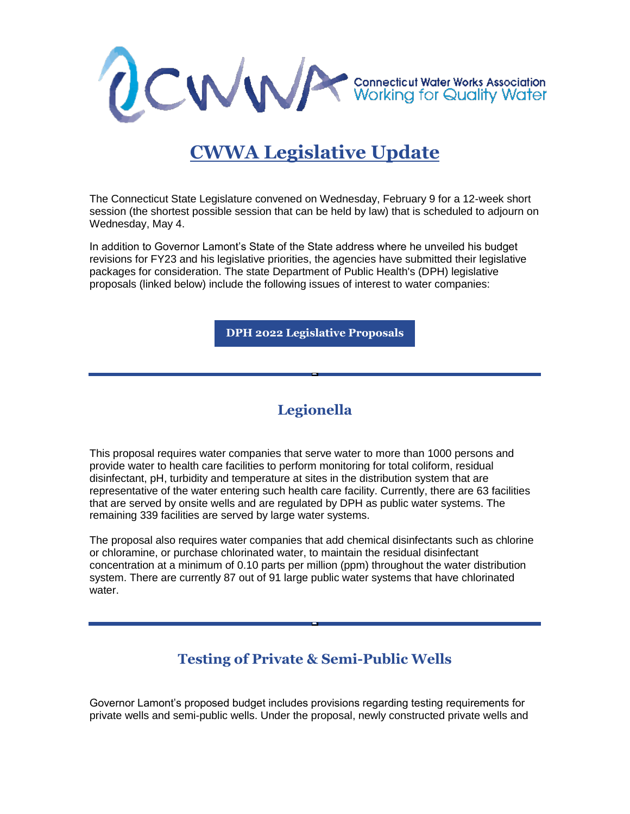

# **CWWA Legislative Update**

The Connecticut State Legislature convened on Wednesday, February 9 for a 12-week short session (the shortest possible session that can be held by law) that is scheduled to adjourn on Wednesday, May 4.

In addition to Governor Lamont's State of the State address where he unveiled his budget revisions for FY23 and his legislative priorities, the agencies have submitted their legislative packages for consideration. The state Department of Public Health's (DPH) legislative proposals (linked below) include the following issues of interest to water companies:

**[DPH 2022 Legislative Proposals](https://r20.rs6.net/tn.jsp?f=0015K2YmbQq7oJzUI8QmrzUQCuRCX-87wcKMqqTdUgtGJk6dQaMwDCmidCQZOdHI_Lr91sEgCaDekCAl2cK9MZQyTaKbdIT4FyGurgGnSS-PR0asHgRwz73u-kBciE9Ify78NLC5JMyZ8IFCwN2QiueXnepbREQRK-04piCMSgIeX65dcMk-ORM9VQrLG1QbBUd7Du96Kd3Lg8Dq-QSvcTRydfh_2r1lpqaTL0DWZmnp1nt79dW0nYlqMkDn5rcU3wGnz9Xgk68ymw=&c=Rng_fgxBW3A73t742BskXTsG89sDwsH_9hikWLkMFqw2e-pdHWDyLg==&ch=SFGbzEZ6vfzDyqbBktum4Vpb-g2SQ_xj_ze5rC0-v7qtwXCAPhk44w==)**

## **Legionella**

This proposal requires water companies that serve water to more than 1000 persons and provide water to health care facilities to perform monitoring for total coliform, residual disinfectant, pH, turbidity and temperature at sites in the distribution system that are representative of the water entering such health care facility. Currently, there are 63 facilities that are served by onsite wells and are regulated by DPH as public water systems. The remaining 339 facilities are served by large water systems.

The proposal also requires water companies that add chemical disinfectants such as chlorine or chloramine, or purchase chlorinated water, to maintain the residual disinfectant concentration at a minimum of 0.10 parts per million (ppm) throughout the water distribution system. There are currently 87 out of 91 large public water systems that have chlorinated water.

## **Testing of Private & Semi-Public Wells**

Governor Lamont's proposed budget includes provisions regarding testing requirements for private wells and semi-public wells. Under the proposal, newly constructed private wells and